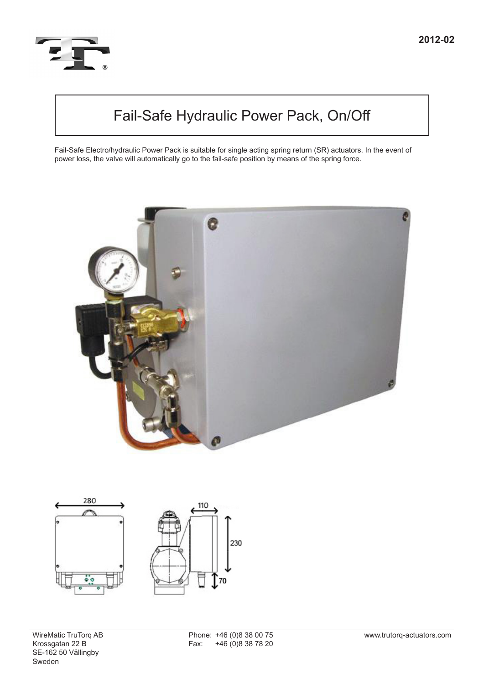

# Fail-Safe Hydraulic Power Pack, On/Off

Fail-Safe Electro/hydraulic Power Pack is suitable for single acting spring return (SR) actuators. In the event of power loss, the valve will automatically go to the fail-safe position by means of the spring force.